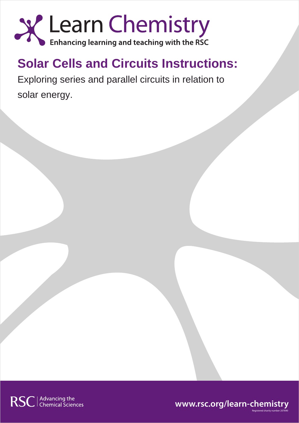

# **Solar Cells and Circuits Instructions:**

Exploring series and parallel circuits in relation to solar energy.



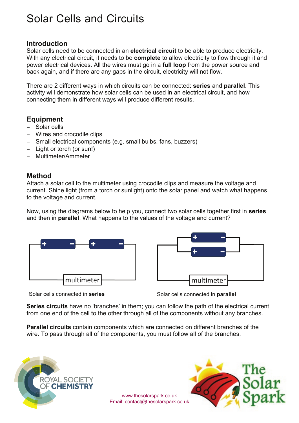### **Introduction**

Solar cells need to be connected in an **electrical circuit** to be able to produce electricity. With any electrical circuit, it needs to be **complete** to allow electricity to flow through it and power electrical devices. All the wires must go in a **full loop** from the power source and back again, and if there are any gaps in the circuit, electricity will not flow.

There are 2 different ways in which circuits can be connected: **series** and **parallel**. This activity will demonstrate how solar cells can be used in an electrical circuit, and how connecting them in different ways will produce different results.

## **Equipment**

- − Solar cells
- − Wires and crocodile clips
- − Small electrical components (e.g. small bulbs, fans, buzzers)
- − Light or torch (or sun!)
- − Multimeter/Ammeter

### **Method**

Attach a solar cell to the multimeter using crocodile clips and measure the voltage and current. Shine light (from a torch or sunlight) onto the solar panel and watch what happens to the voltage and current.

Now, using the diagrams below to help you, connect two solar cells together first in **series** and then in **parallel**. What happens to the values of the voltage and current?





Solar cells connected in **series** Solar cells connected in **parallel**

**Series circuits** have no 'branches' in them; you can follow the path of the electrical current from one end of the cell to the other through all of the components without any branches.

www.thesolarspark.co.uk

**Parallel circuits** contain components which are connected on different branches of the wire. To pass through all of the components, you must follow all of the branches.